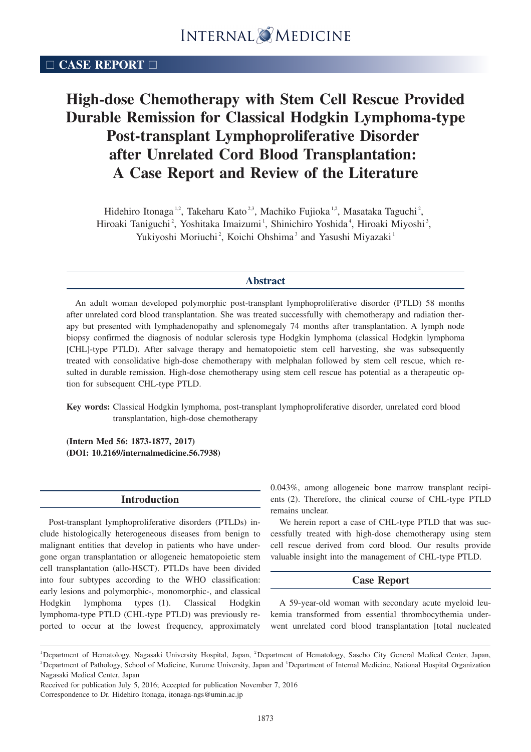# □ **CASE REPORT** □

# **High-dose Chemotherapy with Stem Cell Rescue Provided Durable Remission for Classical Hodgkin Lymphoma-type Post-transplant Lymphoproliferative Disorder after Unrelated Cord Blood Transplantation: A Case Report and Review of the Literature**

Hidehiro Itonaga<sup>1,2</sup>, Takeharu Kato<sup>2,3</sup>, Machiko Fujioka<sup>1,2</sup>, Masataka Taguchi<sup>2</sup>, Hiroaki Taniguchi<sup>2</sup>, Yoshitaka Imaizumi<sup>1</sup>, Shinichiro Yoshida<sup>4</sup>, Hiroaki Miyoshi<sup>3</sup>, Yukiyoshi Moriuchi<sup>2</sup>, Koichi Ohshima<sup>3</sup> and Yasushi Miyazaki<sup>1</sup>

# **Abstract**

An adult woman developed polymorphic post-transplant lymphoproliferative disorder (PTLD) 58 months after unrelated cord blood transplantation. She was treated successfully with chemotherapy and radiation therapy but presented with lymphadenopathy and splenomegaly 74 months after transplantation. A lymph node biopsy confirmed the diagnosis of nodular sclerosis type Hodgkin lymphoma (classical Hodgkin lymphoma [CHL]-type PTLD). After salvage therapy and hematopoietic stem cell harvesting, she was subsequently treated with consolidative high-dose chemotherapy with melphalan followed by stem cell rescue, which resulted in durable remission. High-dose chemotherapy using stem cell rescue has potential as a therapeutic option for subsequent CHL-type PTLD.

**Key words:** Classical Hodgkin lymphoma, post-transplant lymphoproliferative disorder, unrelated cord blood transplantation, high-dose chemotherapy

**(Intern Med 56: 1873-1877, 2017) (DOI: 10.2169/internalmedicine.56.7938)**

## **Introduction**

Post-transplant lymphoproliferative disorders (PTLDs) include histologically heterogeneous diseases from benign to malignant entities that develop in patients who have undergone organ transplantation or allogeneic hematopoietic stem cell transplantation (allo-HSCT). PTLDs have been divided into four subtypes according to the WHO classification: early lesions and polymorphic-, monomorphic-, and classical Hodgkin lymphoma types (1). Classical Hodgkin lymphoma-type PTLD (CHL-type PTLD) was previously reported to occur at the lowest frequency, approximately

0.043%, among allogeneic bone marrow transplant recipients (2). Therefore, the clinical course of CHL-type PTLD remains unclear.

We herein report a case of CHL-type PTLD that was successfully treated with high-dose chemotherapy using stem cell rescue derived from cord blood. Our results provide valuable insight into the management of CHL-type PTLD.

### **Case Report**

A 59-year-old woman with secondary acute myeloid leukemia transformed from essential thrombocythemia underwent unrelated cord blood transplantation [total nucleated

Received for publication July 5, 2016; Accepted for publication November 7, 2016 Correspondence to Dr. Hidehiro Itonaga, itonaga-ngs@umin.ac.jp

<sup>&</sup>lt;sup>1</sup>Department of Hematology, Nagasaki University Hospital, Japan, <sup>2</sup>Department of Hematology, Sasebo City General Medical Center, Japan, <sup>3</sup> Department of Pathology, School of Medicine, Kurume University, Japan and <sup>4</sup> Department of Internal Medicine, National Hospital Organization Nagasaki Medical Center, Japan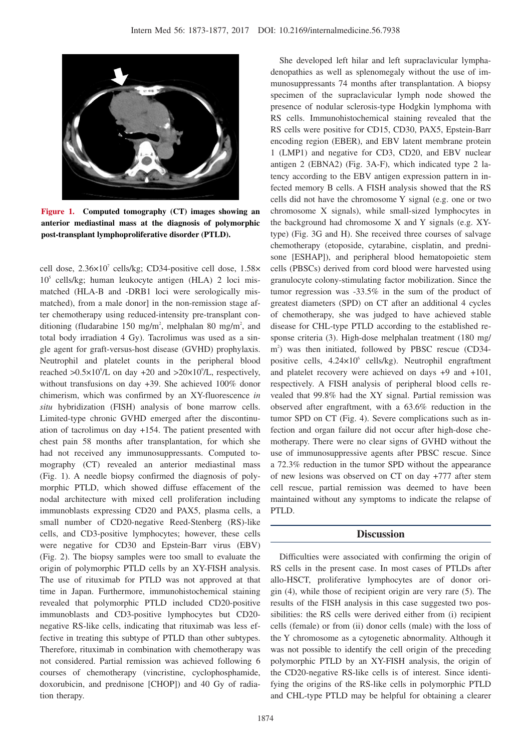

**Figure 1. Computed tomography (CT) images showing an anterior mediastinal mass at the diagnosis of polymorphic post-transplant lymphoproliferative disorder (PTLD).**

cell dose,  $2.36 \times 10^{7}$  cells/kg; CD34-positive cell dose,  $1.58 \times$  $10<sup>5</sup>$  cells/kg; human leukocyte antigen (HLA) 2 loci mismatched (HLA-B and -DRB1 loci were serologically mismatched), from a male donor] in the non-remission stage after chemotherapy using reduced-intensity pre-transplant conditioning (fludarabine 150 mg/m<sup>2</sup>, melphalan 80 mg/m<sup>2</sup>, and total body irradiation 4 Gy). Tacrolimus was used as a single agent for graft-versus-host disease (GVHD) prophylaxis. Neutrophil and platelet counts in the peripheral blood reached  $>0.5 \times 10^9$ /L on day +20 and  $>20 \times 10^9$ /L, respectively, without transfusions on day +39. She achieved 100% donor chimerism, which was confirmed by an XY-fluorescence *in situ* hybridization (FISH) analysis of bone marrow cells. Limited-type chronic GVHD emerged after the discontinuation of tacrolimus on day +154. The patient presented with chest pain 58 months after transplantation, for which she had not received any immunosuppressants. Computed tomography (CT) revealed an anterior mediastinal mass (Fig. 1). A needle biopsy confirmed the diagnosis of polymorphic PTLD, which showed diffuse effacement of the nodal architecture with mixed cell proliferation including immunoblasts expressing CD20 and PAX5, plasma cells, a small number of CD20-negative Reed-Stenberg (RS)-like cells, and CD3-positive lymphocytes; however, these cells were negative for CD30 and Epstein-Barr virus (EBV) (Fig. 2). The biopsy samples were too small to evaluate the origin of polymorphic PTLD cells by an XY-FISH analysis. The use of rituximab for PTLD was not approved at that time in Japan. Furthermore, immunohistochemical staining revealed that polymorphic PTLD included CD20-positive immunoblasts and CD3-positive lymphocytes but CD20 negative RS-like cells, indicating that rituximab was less effective in treating this subtype of PTLD than other subtypes. Therefore, rituximab in combination with chemotherapy was not considered. Partial remission was achieved following 6 courses of chemotherapy (vincristine, cyclophosphamide, doxorubicin, and prednisone [CHOP]) and 40 Gy of radiation therapy.

She developed left hilar and left supraclavicular lymphadenopathies as well as splenomegaly without the use of immunosuppressants 74 months after transplantation. A biopsy specimen of the supraclavicular lymph node showed the presence of nodular sclerosis-type Hodgkin lymphoma with RS cells. Immunohistochemical staining revealed that the RS cells were positive for CD15, CD30, PAX5, Epstein-Barr encoding region (EBER), and EBV latent membrane protein 1 (LMP1) and negative for CD3, CD20, and EBV nuclear antigen 2 (EBNA2) (Fig. 3A-F), which indicated type 2 latency according to the EBV antigen expression pattern in infected memory B cells. A FISH analysis showed that the RS cells did not have the chromosome Y signal (e.g. one or two chromosome X signals), while small-sized lymphocytes in the background had chromosome X and Y signals (e.g. XYtype) (Fig. 3G and H). She received three courses of salvage chemotherapy (etoposide, cytarabine, cisplatin, and prednisone [ESHAP]), and peripheral blood hematopoietic stem cells (PBSCs) derived from cord blood were harvested using granulocyte colony-stimulating factor mobilization. Since the tumor regression was -33.5% in the sum of the product of greatest diameters (SPD) on CT after an additional 4 cycles of chemotherapy, she was judged to have achieved stable disease for CHL-type PTLD according to the established response criteria (3). High-dose melphalan treatment (180 mg/ m<sup>2</sup>) was then initiated, followed by PBSC rescue (CD34positive cells, 4.24×10<sup>6</sup> cells/kg). Neutrophil engraftment and platelet recovery were achieved on days +9 and +101, respectively. A FISH analysis of peripheral blood cells revealed that 99.8% had the XY signal. Partial remission was observed after engraftment, with a 63.6% reduction in the tumor SPD on CT (Fig. 4). Severe complications such as infection and organ failure did not occur after high-dose chemotherapy. There were no clear signs of GVHD without the use of immunosuppressive agents after PBSC rescue. Since a 72.3% reduction in the tumor SPD without the appearance of new lesions was observed on CT on day +777 after stem cell rescue, partial remission was deemed to have been maintained without any symptoms to indicate the relapse of PTLD.

#### **Discussion**

Difficulties were associated with confirming the origin of RS cells in the present case. In most cases of PTLDs after allo-HSCT, proliferative lymphocytes are of donor origin (4), while those of recipient origin are very rare (5). The results of the FISH analysis in this case suggested two possibilities: the RS cells were derived either from (i) recipient cells (female) or from (ii) donor cells (male) with the loss of the Y chromosome as a cytogenetic abnormality. Although it was not possible to identify the cell origin of the preceding polymorphic PTLD by an XY-FISH analysis, the origin of the CD20-negative RS-like cells is of interest. Since identifying the origins of the RS-like cells in polymorphic PTLD and CHL-type PTLD may be helpful for obtaining a clearer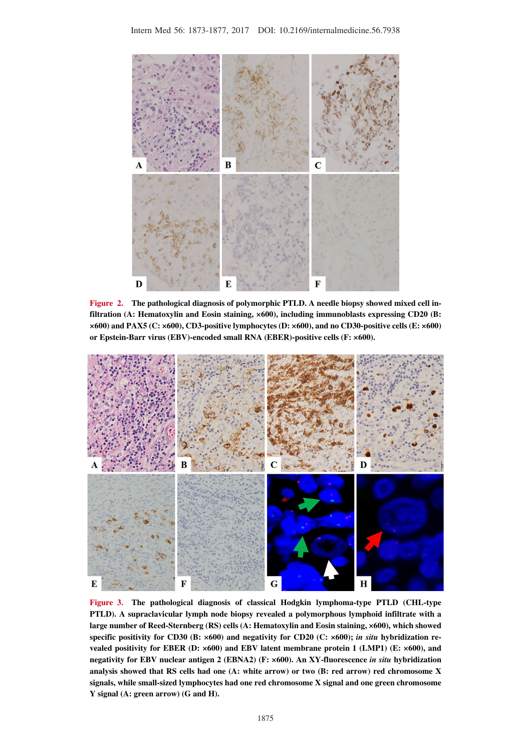

**Figure 2. The pathological diagnosis of polymorphic PTLD. A needle biopsy showed mixed cell infiltration (A: Hematoxylin and Eosin staining, ×600), including immunoblasts expressing CD20 (B: ×600) and PAX5 (C: ×600), CD3-positive lymphocytes (D: ×600), and no CD30-positive cells (E: ×600) or Epstein-Barr virus (EBV)-encoded small RNA (EBER)-positive cells (F: ×600).**



**Figure 3. The pathological diagnosis of classical Hodgkin lymphoma-type PTLD (CHL-type PTLD). A supraclavicular lymph node biopsy revealed a polymorphous lymphoid infiltrate with a large number of Reed-Sternberg (RS) cells (A: Hematoxylin and Eosin staining, ×600), which showed specific positivity for CD30 (B: ×600) and negativity for CD20 (C: ×600);** *in situ* **hybridization revealed positivity for EBER (D: ×600) and EBV latent membrane protein 1 (LMP1) (E: ×600), and negativity for EBV nuclear antigen 2 (EBNA2) (F: ×600). An XY-fluorescence** *in situ* **hybridization analysis showed that RS cells had one (A: white arrow) or two (B: red arrow) red chromosome X signals, while small-sized lymphocytes had one red chromosome X signal and one green chromosome Y signal (A: green arrow) (G and H).**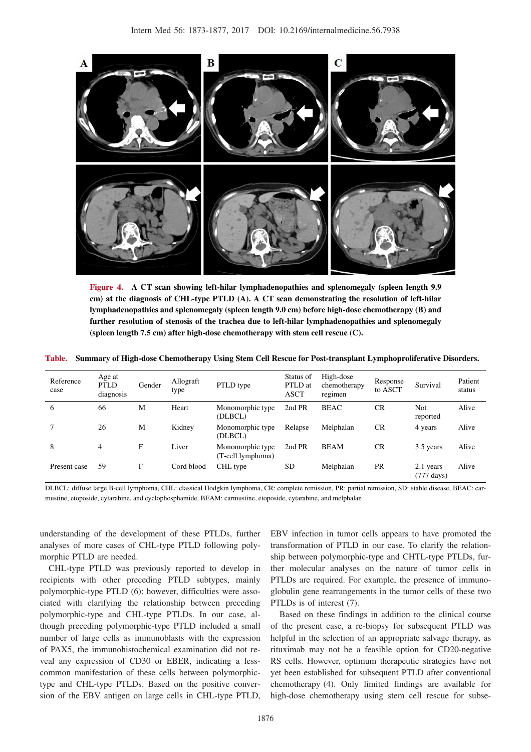

**Figure 4. A CT scan showing left-hilar lymphadenopathies and splenomegaly (spleen length 9.9 cm) at the diagnosis of CHL-type PTLD (A). A CT scan demonstrating the resolution of left-hilar lymphadenopathies and splenomegaly (spleen length 9.0 cm) before high-dose chemotherapy (B) and further resolution of stenosis of the trachea due to left-hilar lymphadenopathies and splenomegaly (spleen length 7.5 cm) after high-dose chemotherapy with stem cell rescue (C).**

**Table. Summary of High-dose Chemotherapy Using Stem Cell Rescue for Post-transplant Lymphoproliferative Disorders.**

| Reference<br>case | Age at<br><b>PTLD</b><br>diagnosis | Gender | Allograft<br>type | PTLD type                             | Status of<br>PTLD at<br><b>ASCT</b> | High-dose<br>chemotherapy<br>regimen | Response<br>to ASCT | Survival                          | Patient<br>status |
|-------------------|------------------------------------|--------|-------------------|---------------------------------------|-------------------------------------|--------------------------------------|---------------------|-----------------------------------|-------------------|
| 6                 | 66                                 | М      | Heart             | Monomorphic type<br>(DLBCL)           | 2nd PR                              | <b>BEAC</b>                          | <b>CR</b>           | Not<br>reported                   | Alive             |
|                   | 26                                 | М      | Kidney            | Monomorphic type.<br>(DLBCL)          | Relapse                             | Melphalan                            | CR                  | 4 years                           | Alive             |
| 8                 | 4                                  | F      | Liver             | Monomorphic type<br>(T-cell lymphoma) | 2nd PR                              | <b>BEAM</b>                          | CR                  | 3.5 years                         | Alive             |
| Present case      | 59                                 | F      | Cord blood        | CHL type                              | <b>SD</b>                           | Melphalan                            | <b>PR</b>           | 2.1 years<br>$(777 \text{ days})$ | Alive             |

DLBCL: diffuse large B-cell lymphoma, CHL: classical Hodgkin lymphoma, CR: complete remission, PR: partial remission, SD: stable disease, BEAC: carmustine, etoposide, cytarabine, and cyclophosphamide, BEAM: carmustine, etoposide, cytarabine, and melphalan

understanding of the development of these PTLDs, further analyses of more cases of CHL-type PTLD following polymorphic PTLD are needed.

CHL-type PTLD was previously reported to develop in recipients with other preceding PTLD subtypes, mainly polymorphic-type PTLD (6); however, difficulties were associated with clarifying the relationship between preceding polymorphic-type and CHL-type PTLDs. In our case, although preceding polymorphic-type PTLD included a small number of large cells as immunoblasts with the expression of PAX5, the immunohistochemical examination did not reveal any expression of CD30 or EBER, indicating a lesscommon manifestation of these cells between polymorphictype and CHL-type PTLDs. Based on the positive conversion of the EBV antigen on large cells in CHL-type PTLD, EBV infection in tumor cells appears to have promoted the transformation of PTLD in our case. To clarify the relationship between polymorphic-type and CHTL-type PTLDs, further molecular analyses on the nature of tumor cells in PTLDs are required. For example, the presence of immunoglobulin gene rearrangements in the tumor cells of these two PTLDs is of interest (7).

Based on these findings in addition to the clinical course of the present case, a re-biopsy for subsequent PTLD was helpful in the selection of an appropriate salvage therapy, as rituximab may not be a feasible option for CD20-negative RS cells. However, optimum therapeutic strategies have not yet been established for subsequent PTLD after conventional chemotherapy (4). Only limited findings are available for high-dose chemotherapy using stem cell rescue for subse